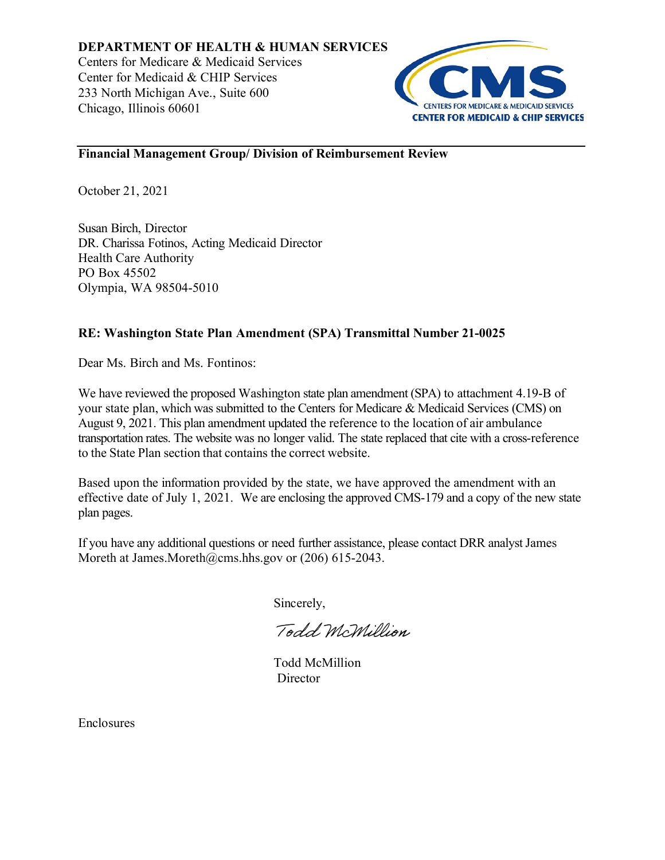

## **Financial Management Group/ Division of Reimbursement Review**

October 21, 2021

Susan Birch, Director DR. Charissa Fotinos, Acting Medicaid Director Health Care Authority PO Box 45502 Olympia, WA 98504-5010

## **RE: Washington State Plan Amendment (SPA) Transmittal Number 21-0025**

Dear Ms. Birch and Ms. Fontinos:

We have reviewed the proposed Washington state plan amendment (SPA) to attachment 4.19-B of your state plan, which was submitted to the Centers for Medicare & Medicaid Services (CMS) on August 9, 2021. This plan amendment updated the reference to the location of air ambulance transportation rates. The website was no longer valid. The state replaced that cite with a cross-reference to the State Plan section that contains the correct website.

Based upon the information provided by the state, we have approved the amendment with an effective date of July 1, 2021. We are enclosing the approved CMS-179 and a copy of the new state plan pages.

If you have any additional questions or need further assistance, please contact DRR analyst James Moreth at James.Moreth@cms.hhs.gov or (206) 615-2043.

Sincerely,

Todd McMillion

Todd McMillion **Director** 

Enclosures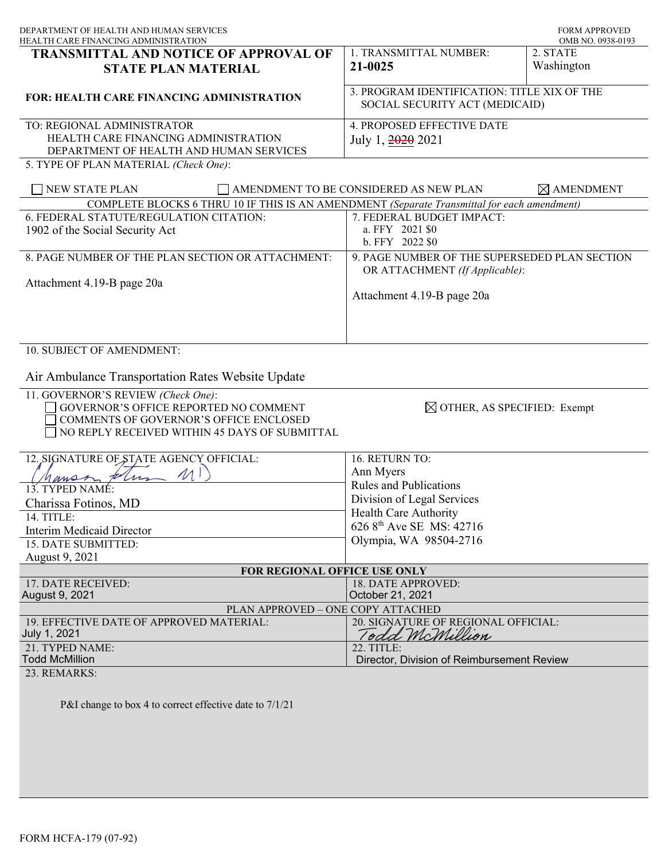| DEPARTMENT OF HEALTH AND HUMAN SERVICES<br>HEALTH CARE FINANCING ADMINISTRATION                                                                                                                                                                              |                                                                                                                                                                                       | <b>FORM APPROVED</b><br>OMB NO. 0938-0193 |
|--------------------------------------------------------------------------------------------------------------------------------------------------------------------------------------------------------------------------------------------------------------|---------------------------------------------------------------------------------------------------------------------------------------------------------------------------------------|-------------------------------------------|
| <b>TRANSMITTAL AND NOTICE OF APPROVAL OF</b><br><b>STATE PLAN MATERIAL</b>                                                                                                                                                                                   | 1. TRANSMITTAL NUMBER:<br>21-0025                                                                                                                                                     | 2. STATE<br>Washington                    |
| <b>FOR: HEALTH CARE FINANCING ADMINISTRATION</b>                                                                                                                                                                                                             | 3. PROGRAM IDENTIFICATION: TITLE XIX OF THE<br>SOCIAL SECURITY ACT (MEDICAID)                                                                                                         |                                           |
| TO: REGIONAL ADMINISTRATOR<br>HEALTH CARE FINANCING ADMINISTRATION<br>DEPARTMENT OF HEALTH AND HUMAN SERVICES<br>5. TYPE OF PLAN MATERIAL (Check One):                                                                                                       | 4. PROPOSED EFFECTIVE DATE<br>July 1, 2020 2021                                                                                                                                       |                                           |
| NEW STATE PLAN                                                                                                                                                                                                                                               | AMENDMENT TO BE CONSIDERED AS NEW PLAN                                                                                                                                                | $\boxtimes$ AMENDMENT                     |
| COMPLETE BLOCKS 6 THRU 10 IF THIS IS AN AMENDMENT (Separate Transmittal for each amendment)<br>6. FEDERAL STATUTE/REGULATION CITATION:<br>1902 of the Social Security Act<br>8. PAGE NUMBER OF THE PLAN SECTION OR ATTACHMENT:<br>Attachment 4.19-B page 20a | 7. FEDERAL BUDGET IMPACT:<br>a. FFY 2021 \$0<br>b. FFY 2022 \$0<br>9. PAGE NUMBER OF THE SUPERSEDED PLAN SECTION<br>OR ATTACHMENT (If Applicable):<br>Attachment 4.19-B page 20a      |                                           |
| 10. SUBJECT OF AMENDMENT:<br>Air Ambulance Transportation Rates Website Update<br>11. GOVERNOR'S REVIEW (Check One):<br>GOVERNOR'S OFFICE REPORTED NO COMMENT<br>COMMENTS OF GOVERNOR'S OFFICE ENCLOSED<br>NO REPLY RECEIVED WITHIN 45 DAYS OF SUBMITTAL     | $\boxtimes$ OTHER, AS SPECIFIED: Exempt                                                                                                                                               |                                           |
| 12. SIGNATURE OF STATE AGENCY OFFICIAL:<br>$\mathcal{U}$<br>u<br>nansa<br>13. TYPED NAMÉ:<br>Charissa Fotinos, MD<br>14. TITLE:<br><b>Interim Medicaid Director</b><br>15. DATE SUBMITTED:<br>August 9, 2021                                                 | 16. RETURN TO:<br>Ann Myers<br><b>Rules and Publications</b><br>Division of Legal Services<br>Health Care Authority<br>626 8 <sup>th</sup> Ave SE MS: 42716<br>Olympia, WA 98504-2716 |                                           |
| FOR REGIONAL OFFICE USE ONLY                                                                                                                                                                                                                                 |                                                                                                                                                                                       |                                           |
| 17. DATE RECEIVED:<br>August 9, 2021                                                                                                                                                                                                                         | <b>18. DATE APPROVED:</b><br>October 21, 2021                                                                                                                                         |                                           |
| PLAN APPROVED - ONE COPY ATTACHED<br>19. EFFECTIVE DATE OF APPROVED MATERIAL:<br>July 1, 2021<br>21. TYPED NAME:<br><b>Todd McMillion</b>                                                                                                                    | 20. SIGNATURE OF REGIONAL OFFICIAL:<br>Todd McMillion<br>22. TITLE:<br>Director, Division of Reimbursement Review                                                                     |                                           |
| 23. REMARKS:<br>P&I change to box 4 to correct effective date to 7/1/21                                                                                                                                                                                      |                                                                                                                                                                                       |                                           |

FORM HCFA-179 (07-92)